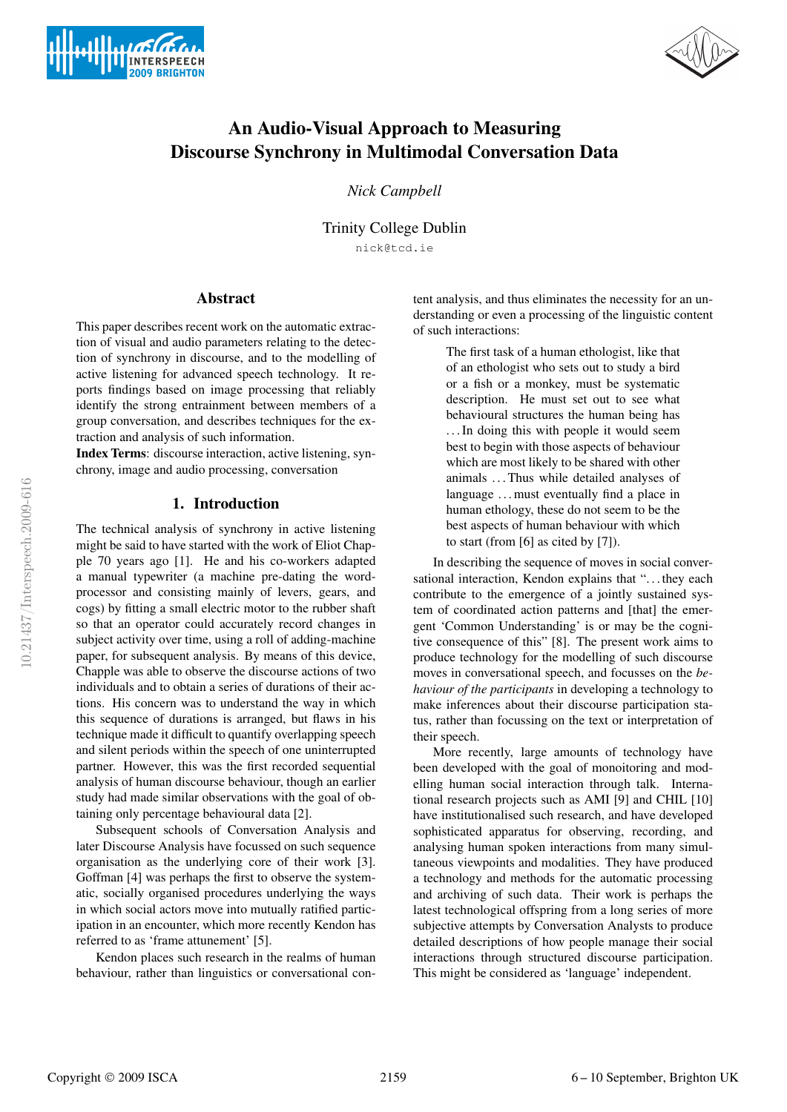



# An Audio-Visual Approach to Measuring Discourse Synchrony in Multimodal Conversation Data

*Nick Campbell*

Trinity College Dublin nick@tcd.ie

# Abstract

This paper describes recent work on the automatic extraction of visual and audio parameters relating to the detection of synchrony in discourse, and to the modelling of active listening for advanced speech technology. It reports findings based on image processing that reliably identify the strong entrainment between members of a group conversation, and describes techniques for the extraction and analysis of such information.

Index Terms: discourse interaction, active listening, synchrony, image and audio processing, conversation

#### 1. Introduction

The technical analysis of synchrony in active listening might be said to have started with the work of Eliot Chapple 70 years ago [1]. He and his co-workers adapted a manual typewriter (a machine pre-dating the wordprocessor and consisting mainly of levers, gears, and cogs) by fitting a small electric motor to the rubber shaft so that an operator could accurately record changes in subject activity over time, using a roll of adding-machine paper, for subsequent analysis. By means of this device, Chapple was able to observe the discourse actions of two individuals and to obtain a series of durations of their actions. His concern was to understand the way in which this sequence of durations is arranged, but flaws in his technique made it difficult to quantify overlapping speech and silent periods within the speech of one uninterrupted partner. However, this was the first recorded sequential analysis of human discourse behaviour, though an earlier study had made similar observations with the goal of obtaining only percentage behavioural data [2].

Subsequent schools of Conversation Analysis and later Discourse Analysis have focussed on such sequence organisation as the underlying core of their work [3]. Goffman [4] was perhaps the first to observe the systematic, socially organised procedures underlying the ways in which social actors move into mutually ratified participation in an encounter, which more recently Kendon has referred to as 'frame attunement' [5].

Kendon places such research in the realms of human behaviour, rather than linguistics or conversational content analysis, and thus eliminates the necessity for an understanding or even a processing of the linguistic content of such interactions:

> The first task of a human ethologist, like that of an ethologist who sets out to study a bird or a fish or a monkey, must be systematic description. He must set out to see what behavioural structures the human being has . . . In doing this with people it would seem best to begin with those aspects of behaviour which are most likely to be shared with other animals . . . Thus while detailed analyses of language . . . must eventually find a place in human ethology, these do not seem to be the best aspects of human behaviour with which to start (from [6] as cited by [7]).

In describing the sequence of moves in social conversational interaction, Kendon explains that "... they each contribute to the emergence of a jointly sustained system of coordinated action patterns and [that] the emergent 'Common Understanding' is or may be the cognitive consequence of this" [8]. The present work aims to produce technology for the modelling of such discourse moves in conversational speech, and focusses on the *behaviour of the participants* in developing a technology to make inferences about their discourse participation status, rather than focussing on the text or interpretation of their speech.

More recently, large amounts of technology have been developed with the goal of monoitoring and modelling human social interaction through talk. International research projects such as AMI [9] and CHIL [10] have institutionalised such research, and have developed sophisticated apparatus for observing, recording, and analysing human spoken interactions from many simultaneous viewpoints and modalities. They have produced a technology and methods for the automatic processing and archiving of such data. Their work is perhaps the latest technological offspring from a long series of more subjective attempts by Conversation Analysts to produce detailed descriptions of how people manage their social interactions through structured discourse participation. This might be considered as 'language' independent.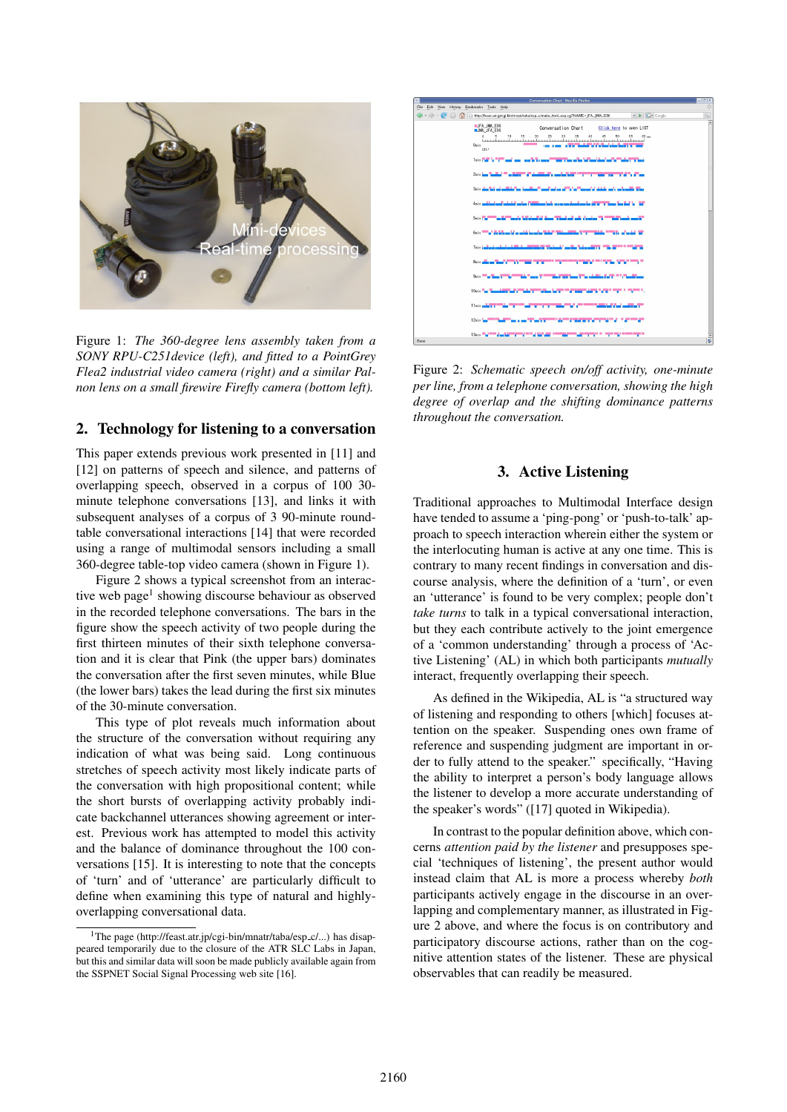

Figure 1: *The 360-degree lens assembly taken from a SONY RPU-C251device (left), and fitted to a PointGrey Flea2 industrial video camera (right) and a similar Palnon lens on a small firewire Firefly camera (bottom left).*

### 2. Technology for listening to a conversation

This paper extends previous work presented in [11] and [12] on patterns of speech and silence, and patterns of overlapping speech, observed in a corpus of 100 30 minute telephone conversations [13], and links it with subsequent analyses of a corpus of 3 90-minute roundtable conversational interactions [14] that were recorded using a range of multimodal sensors including a small 360-degree table-top video camera (shown in Figure 1).

Figure 2 shows a typical screenshot from an interactive web page<sup>1</sup> showing discourse behaviour as observed in the recorded telephone conversations. The bars in the figure show the speech activity of two people during the first thirteen minutes of their sixth telephone conversation and it is clear that Pink (the upper bars) dominates the conversation after the first seven minutes, while Blue (the lower bars) takes the lead during the first six minutes of the 30-minute conversation.

This type of plot reveals much information about the structure of the conversation without requiring any indication of what was being said. Long continuous stretches of speech activity most likely indicate parts of the conversation with high propositional content; while the short bursts of overlapping activity probably indicate backchannel utterances showing agreement or interest. Previous work has attempted to model this activity and the balance of dominance throughout the 100 conversations [15]. It is interesting to note that the concepts of 'turn' and of 'utterance' are particularly difficult to define when examining this type of natural and highlyoverlapping conversational data.



Figure 2: *Schematic speech on/off activity, one-minute per line, from a telephone conversation, showing the high degree of overlap and the shifting dominance patterns throughout the conversation.*

# 3. Active Listening

Traditional approaches to Multimodal Interface design have tended to assume a 'ping-pong' or 'push-to-talk' approach to speech interaction wherein either the system or the interlocuting human is active at any one time. This is contrary to many recent findings in conversation and discourse analysis, where the definition of a 'turn', or even an 'utterance' is found to be very complex; people don't *take turns* to talk in a typical conversational interaction, but they each contribute actively to the joint emergence of a 'common understanding' through a process of 'Active Listening' (AL) in which both participants *mutually* interact, frequently overlapping their speech.

As defined in the Wikipedia, AL is "a structured way of listening and responding to others [which] focuses attention on the speaker. Suspending ones own frame of reference and suspending judgment are important in order to fully attend to the speaker." specifically, "Having the ability to interpret a person's body language allows the listener to develop a more accurate understanding of the speaker's words" ([17] quoted in Wikipedia).

In contrast to the popular definition above, which concerns *attention paid by the listener* and presupposes special 'techniques of listening', the present author would instead claim that AL is more a process whereby *both* participants actively engage in the discourse in an overlapping and complementary manner, as illustrated in Figure 2 above, and where the focus is on contributory and participatory discourse actions, rather than on the cognitive attention states of the listener. These are physical observables that can readily be measured.

<sup>&</sup>lt;sup>1</sup>The page (http://feast.atr.jp/cgi-bin/mnatr/taba/esp\_c/...) has disappeared temporarily due to the closure of the ATR SLC Labs in Japan, but this and similar data will soon be made publicly available again from the SSPNET Social Signal Processing web site [16].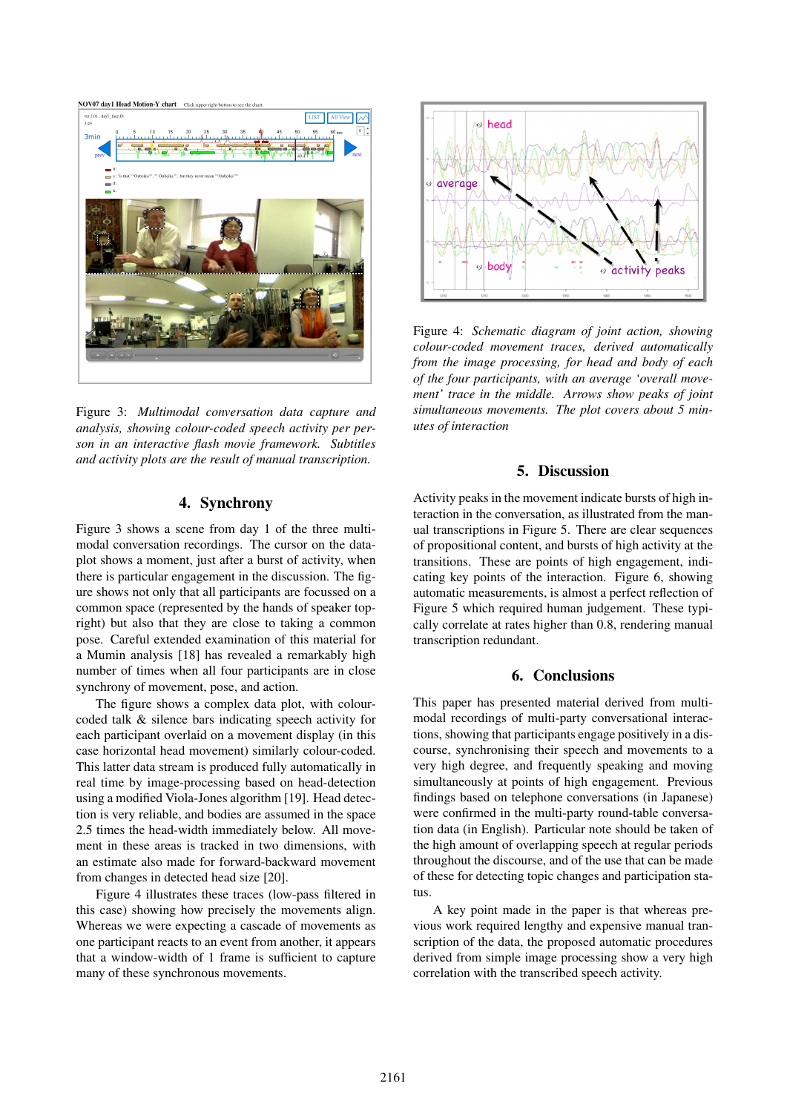

Figure 3: *Multimodal conversation data capture and analysis, showing colour-coded speech activity per person in an interactive flash movie framework. Subtitles and activity plots are the result of manual transcription.*

### 4. Synchrony

Figure 3 shows a scene from day 1 of the three multimodal conversation recordings. The cursor on the dataplot shows a moment, just after a burst of activity, when there is particular engagement in the discussion. The figure shows not only that all participants are focussed on a common space (represented by the hands of speaker topright) but also that they are close to taking a common pose. Careful extended examination of this material for a Mumin analysis [18] has revealed a remarkably high number of times when all four participants are in close synchrony of movement, pose, and action.

The figure shows a complex data plot, with colourcoded talk & silence bars indicating speech activity for each participant overlaid on a movement display (in this case horizontal head movement) similarly colour-coded. This latter data stream is produced fully automatically in real time by image-processing based on head-detection using a modified Viola-Jones algorithm [19]. Head detection is very reliable, and bodies are assumed in the space 2.5 times the head-width immediately below. All movement in these areas is tracked in two dimensions, with an estimate also made for forward-backward movement from changes in detected head size [20].

Figure 4 illustrates these traces (low-pass filtered in this case) showing how precisely the movements align. Whereas we were expecting a cascade of movements as one participant reacts to an event from another, it appears that a window-width of 1 frame is sufficient to capture many of these synchronous movements.



Figure 4: *Schematic diagram of joint action, showing colour-coded movement traces, derived automatically from the image processing, for head and body of each of the four participants, with an average 'overall movement' trace in the middle. Arrows show peaks of joint simultaneous movements. The plot covers about 5 minutes of interaction*

# 5. Discussion

Activity peaks in the movement indicate bursts of high interaction in the conversation, as illustrated from the manual transcriptions in Figure 5. There are clear sequences of propositional content, and bursts of high activity at the transitions. These are points of high engagement, indicating key points of the interaction. Figure 6, showing automatic measurements, is almost a perfect reflection of Figure 5 which required human judgement. These typically correlate at rates higher than 0.8, rendering manual transcription redundant.

# 6. Conclusions

This paper has presented material derived from multimodal recordings of multi-party conversational interactions, showing that participants engage positively in a discourse, synchronising their speech and movements to a very high degree, and frequently speaking and moving simultaneously at points of high engagement. Previous findings based on telephone conversations (in Japanese) were confirmed in the multi-party round-table conversation data (in English). Particular note should be taken of the high amount of overlapping speech at regular periods throughout the discourse, and of the use that can be made of these for detecting topic changes and participation status.

A key point made in the paper is that whereas previous work required lengthy and expensive manual transcription of the data, the proposed automatic procedures derived from simple image processing show a very high correlation with the transcribed speech activity.